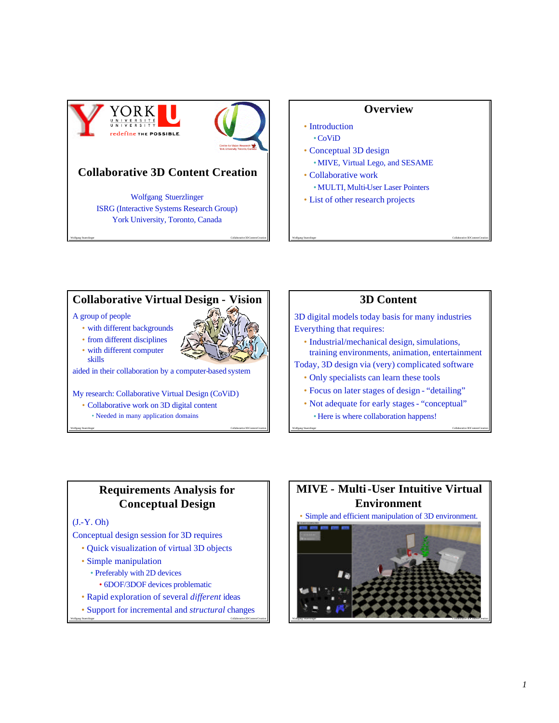

## **Collaborative 3D Content Creation**

Wolfgang Stuerzlinger ISRG (Interactive Systems Research Group) York University, Toronto, Canada

Wolfgang Stuerzlinger Collaborative 3D Content Creation

#### **Overview**

- Introduction •CoViD
- Conceptual 3D design • MIVE, Virtual Lego, and SESAME
- Collaborative work
	- MULTI, Multi-User Laser Pointers
- List of other research projects

#### **Collaborative Virtual Design - Vision**

#### A group of people

- with different backgrounds
- from different disciplines
- with different computer skills

aided in their collaboration by a computer-based system

My research: Collaborative Virtual Design (CoViD)

- Collaborative work on 3D digital content
	- Needed in many application domains

#### **3D Content**

Wolfgang Stuerzlinger Collaborative 3D Content Creation

3D digital models today basis for many industries Everything that requires:

• Industrial/mechanical design, simulations, training environments, animation, entertainment

Today, 3D design via (very) complicated software

- Only specialists can learn these tools
- Focus on later stages of design "detailing"
- Not adequate for early stages "conceptual" • Here is where collaboration happens!

Wolfgang Stuerzlinger Collaborative 3D Content Creation

#### **Requirements Analysis for Conceptual Design**

Wolfgang Stuerzlinger Collaborative 3D Content Creation

#### (J.-Y. Oh)

Conceptual design session for 3D requires

- Quick visualization of virtual 3D objects
- Simple manipulation
	- Preferably with 2D devices
		- 6DOF/3DOF devices problematic
- Rapid exploration of several *different* ideas
- Wolfgang Stuerzlinger Collaborative 3D Content Creation • Support for incremental and *structural* changes

# **MIVE - Multi-User Intuitive Virtual Environment**



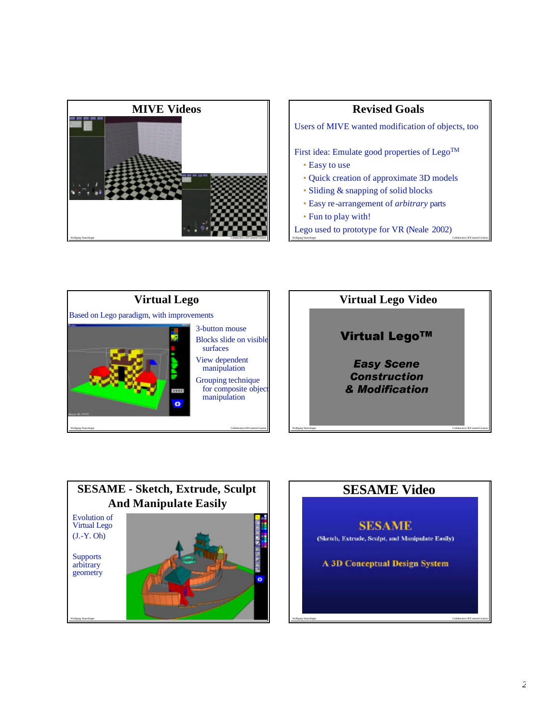

#### **Revised Goals**

Users of MIVE wanted modification of objects, too

First idea: Emulate good properties of Lego<sup>TM</sup>

- Easy to use
- Quick creation of approximate 3D models
- Sliding & snapping of solid blocks
- Easy re-arrangement of *arbitrary* parts
- Fun to play with!
- Lego used to prototype for VR (Neale 2002)

Wolfgang Stuerzlinger Collaborative 3D Content Creation





# **SESAME Video**

**SESAME** (Sketch, Extrude, Sculpt, and Manipulate Easily) **A 3D Conceptual Design System**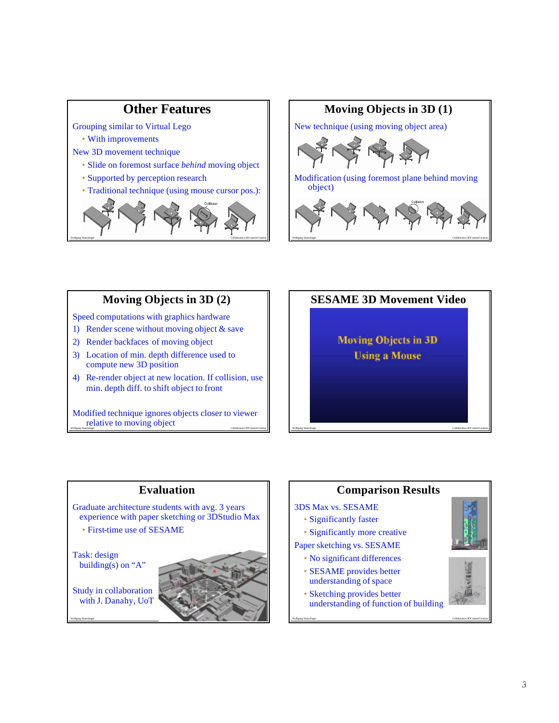

#### **Moving Objects in 3D (2)**

Wolfgang Stuerzlinger Collaborative 3D Content Creation

Speed computations with graphics hardware

- 1) Render scene without moving object  $\&$  save
- 2) Render backfaces of moving object
- 3) Location of min. depth difference used to compute new 3D position
- 4) Re-render object at new location. If collision, use min. depth diff. to shift object to front

Wolfgang Stuerzlinger **Collaborative 3D Content Creation** Modified technique ignores objects closer to viewer relative to moving object



Wolfgang Stuerzlinger Collaborative 3D Content Creation

### **Evaluation**

Graduate architecture students with avg. 3 years experience with paper sketching or 3DStudio Max

• First-time use of SESAME

Task: design building(s) on "A"

Study in collaboration with J. Danahy, UoT

![](_page_2_Picture_14.jpeg)

#### **Comparison Results**

Wolfgang Stuerzlinger Collaborative 3D Content Creation

#### 3DS Max vs. SESAME

- Significantly faster
- Significantly more creative

Paper sketching vs. SESAME

- No significant differences
- SESAME provides better understanding of space
- Sketching provides better understanding of function of building

![](_page_2_Picture_23.jpeg)

![](_page_2_Picture_24.jpeg)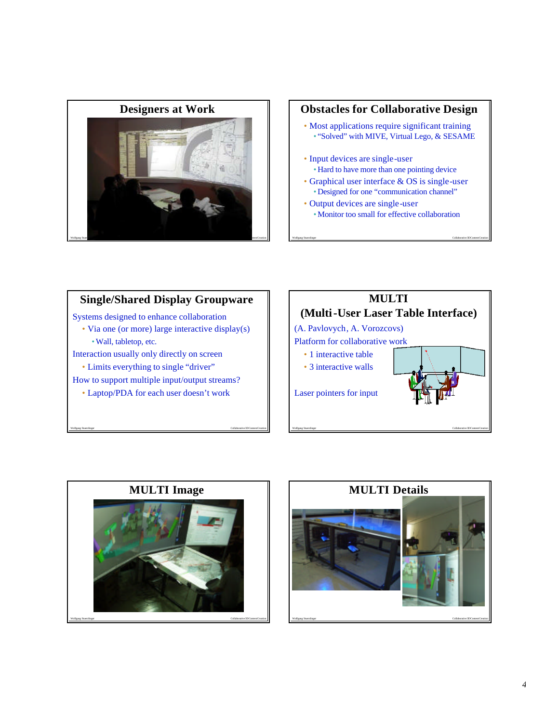![](_page_3_Picture_0.jpeg)

### **Obstacles for Collaborative Design**

- Most applications require significant training • "Solved" with MIVE, Virtual Lego, & SESAME
- Input devices are single-user • Hard to have more than one pointing device
- Graphical user interface & OS is single-user • Designed for one "communication channel"

Wolfgang Stuerzlinger Collaborative 3D Content Creation

• Output devices are single-user • Monitor too small for effective collaboration

## **Single/Shared Display Groupware**

Systems designed to enhance collaboration

• Via one (or more) large interactive display(s) •Wall, tabletop, etc.

Interaction usually only directly on screen

• Limits everything to single "driver"

How to support multiple input/output streams?

• Laptop/PDA for each user doesn't work

![](_page_3_Picture_13.jpeg)

![](_page_3_Picture_14.jpeg)

![](_page_3_Picture_15.jpeg)